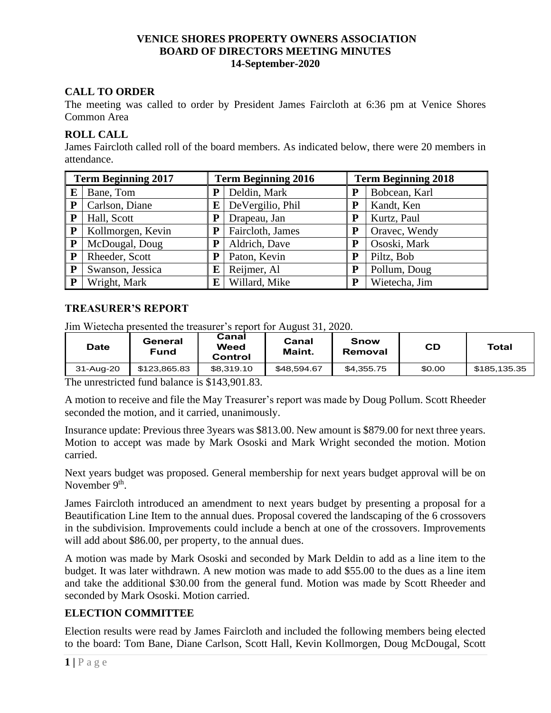### **VENICE SHORES PROPERTY OWNERS ASSOCIATION BOARD OF DIRECTORS MEETING MINUTES 14-September-2020**

# **CALL TO ORDER**

The meeting was called to order by President James Faircloth at 6:36 pm at Venice Shores Common Area

# **ROLL CALL**

James Faircloth called roll of the board members. As indicated below, there were 20 members in attendance.

| <b>Term Beginning 2017</b> |                   | <b>Term Beginning 2016</b> |                  | <b>Term Beginning 2018</b> |               |  |
|----------------------------|-------------------|----------------------------|------------------|----------------------------|---------------|--|
| E                          | Bane, Tom         | P                          | Deldin, Mark     | P                          | Bobcean, Karl |  |
| $\mathbf{P}$               | Carlson, Diane    | E                          | DeVergilio, Phil | P                          | Kandt, Ken    |  |
| $\mathbf{P}$               | Hall, Scott       | P                          | Drapeau, Jan     | P                          | Kurtz, Paul   |  |
| $\mathbf{P}$               | Kollmorgen, Kevin | P                          | Faircloth, James | P                          | Oravec, Wendy |  |
| $\mathbf{P}$               | McDougal, Doug    | P                          | Aldrich, Dave    | P                          | Ososki, Mark  |  |
| $\mathbf{P}$               | Rheeder, Scott    | ${\bf P}$                  | Paton, Kevin     | P                          | Piltz, Bob    |  |
| $\mathbf{P}$               | Swanson, Jessica  | E                          | Reijmer, Al      | P                          | Pollum, Doug  |  |
| P                          | Wright, Mark      | E                          | Willard, Mike    | P                          | Wietecha, Jim |  |

# **TREASURER'S REPORT**

Jim Wietecha presented the treasurer's report for August 31, 2020.

| Date      | General<br><b>Fund</b> | Canal<br>Weed<br>Control | Canal<br>Maint. | Snow<br>Removal | CD     | Total        |
|-----------|------------------------|--------------------------|-----------------|-----------------|--------|--------------|
| 31-Aug-20 | \$123,865.83           | \$8,319.10               | \$48.594.67     | \$4,355.75      | \$0.00 | \$185,135.35 |

The unrestricted fund balance is \$143,901.83.

A motion to receive and file the May Treasurer's report was made by Doug Pollum. Scott Rheeder seconded the motion, and it carried, unanimously.

Insurance update: Previous three 3years was \$813.00. New amount is \$879.00 for next three years. Motion to accept was made by Mark Ososki and Mark Wright seconded the motion. Motion carried.

Next years budget was proposed. General membership for next years budget approval will be on November 9<sup>th</sup>.

James Faircloth introduced an amendment to next years budget by presenting a proposal for a Beautification Line Item to the annual dues. Proposal covered the landscaping of the 6 crossovers in the subdivision. Improvements could include a bench at one of the crossovers. Improvements will add about \$86.00, per property, to the annual dues.

A motion was made by Mark Ososki and seconded by Mark Deldin to add as a line item to the budget. It was later withdrawn. A new motion was made to add \$55.00 to the dues as a line item and take the additional \$30.00 from the general fund. Motion was made by Scott Rheeder and seconded by Mark Ososki. Motion carried.

# **ELECTION COMMITTEE**

Election results were read by James Faircloth and included the following members being elected to the board: Tom Bane, Diane Carlson, Scott Hall, Kevin Kollmorgen, Doug McDougal, Scott